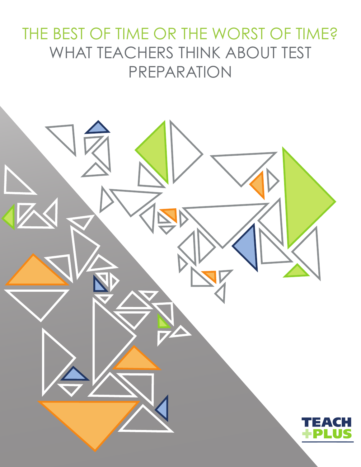# THE BEST OF TIME OR THE WORST OF TIME? WHAT TEACHERS THINK ABOUT TEST PREPARATION

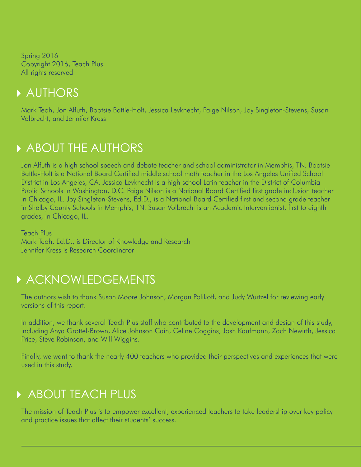Spring 2016 Copyright 2016, Teach Plus All rights reserved

### AUTHORS

Mark Teoh, Jon Alfuth, Bootsie Battle-Holt, Jessica Levknecht, Paige Nilson, Joy Singleton-Stevens, Susan Volbrecht, and Jennifer Kress

## **ABOUT THE AUTHORS**

Jon Alfuth is a high school speech and debate teacher and school administrator in Memphis, TN. Bootsie Battle-Holt is a National Board Certified middle school math teacher in the Los Angeles Unified School District in Los Angeles, CA. Jessica Levknecht is a high school Latin teacher in the District of Columbia Public Schools in Washington, D.C. Paige Nilson is a National Board Certified first grade inclusion teacher in Chicago, IL. Joy Singleton-Stevens, Ed.D., is a National Board Certified first and second grade teacher in Shelby County Schools in Memphis, TN. Susan Volbrecht is an Academic Interventionist, first to eighth grades, in Chicago, IL.

Teach Plus Mark Teoh, Ed.D., is Director of Knowledge and Research Jennifer Kress is Research Coordinator

### **ACKNOWLEDGEMENTS**

The authors wish to thank Susan Moore Johnson, Morgan Polikoff, and Judy Wurtzel for reviewing early versions of this report.

In addition, we thank several Teach Plus staff who contributed to the development and design of this study, including Anya Grottel-Brown, Alice Johnson Cain, Celine Coggins, Josh Kaufmann, Zach Newirth, Jessica Price, Steve Robinson, and Will Wiggins.

Finally, we want to thank the nearly 400 teachers who provided their perspectives and experiences that were used in this study.

# **ABOUT TEACH PLUS**

The mission of Teach Plus is to empower excellent, experienced teachers to take leadership over key policy and practice issues that affect their students' success.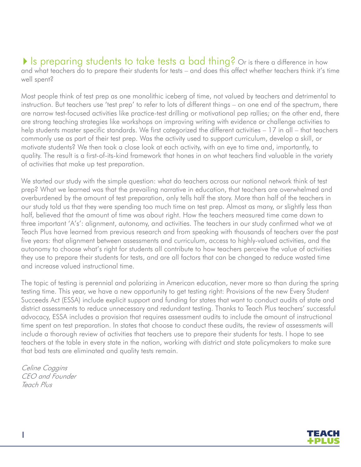#### If is preparing students to take tests a bad thing? Or is there a difference in how and what teachers do to prepare their students for tests – and does this affect whether teachers think it's time well spent?

Most people think of test prep as one monolithic iceberg of time, not valued by teachers and detrimental to instruction. But teachers use 'test prep' to refer to lots of different things – on one end of the spectrum, there are narrow test-focused activities like practice-test drilling or motivational pep rallies; on the other end, there are strong teaching strategies like workshops on improving writing with evidence or challenge activities to help students master specific standards. We first categorized the different activities – 17 in all – that teachers commonly use as part of their test prep. Was the activity used to support curriculum, develop a skill, or motivate students? We then took a close look at each activity, with an eye to time and, importantly, to quality. The result is a first-of-its-kind framework that hones in on what teachers find valuable in the variety of activities that make up test preparation.

We started our study with the simple question: what do teachers across our national network think of test prep? What we learned was that the prevailing narrative in education, that teachers are overwhelmed and overburdened by the amount of test preparation, only tells half the story. More than half of the teachers in our study told us that they were spending too much time on test prep. Almost as many, or slightly less than half, believed that the amount of time was about right. How the teachers measured time came down to three important 'A's': alignment, autonomy, and activities. The teachers in our study confirmed what we at Teach Plus have learned from previous research and from speaking with thousands of teachers over the past five years: that alignment between assessments and curriculum, access to highly-valued activities, and the autonomy to choose what's right for students all contribute to how teachers perceive the value of activities they use to prepare their students for tests, and are all factors that can be changed to reduce wasted time and increase valued instructional time.

The topic of testing is perennial and polarizing in American education, never more so than during the spring testing time. This year, we have a new opportunity to get testing right: Provisions of the new Every Student Succeeds Act (ESSA) include explicit support and funding for states that want to conduct audits of state and district assessments to reduce unnecessary and redundant testing. Thanks to Teach Plus teachers' successful advocacy, ESSA includes a provision that requires assessment audits to include the amount of instructional time spent on test preparation. In states that choose to conduct these audits, the review of assessments will include a thorough review of activities that teachers use to prepare their students for tests. I hope to see teachers at the table in every state in the nation, working with district and state policymakers to make sure that bad tests are eliminated and quality tests remain.

Celine Coggins CEO and Founder Teach Plus

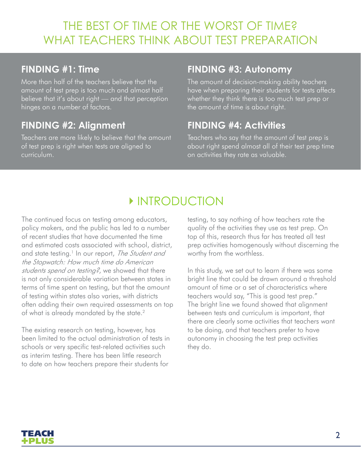# THE BEST OF TIME OR THE WORST OF TIME? WHAT TEACHERS THINK ABOUT TEST PREPARATION

#### **FINDING #1: Time**

More than half of the teachers believe that the amount of test prep is too much and almost half believe that it's about right — and that perception hinges on a number of factors.

#### **FINDING #2: Alignment**

Teachers are more likely to believe that the amount of test prep is right when tests are aligned to curriculum.

#### **FINDING #3: Autonomy**

The amount of decision-making ability teachers have when preparing their students for tests affects whether they think there is too much test prep or the amount of time is about right.

#### **FINDING #4: Activities**

Teachers who say that the amount of test prep is about right spend almost all of their test prep time on activities they rate as valuable.

# **INTRODUCTION**

The continued focus on testing among educators, policy makers, and the public has led to a number of recent studies that have documented the time and estimated costs associated with school, district, and state testing.<sup>1</sup> In our report, The Student and the Stopwatch: How much time do American students spend on testing?, we showed that there is not only considerable variation between states in terms of time spent on testing, but that the amount of testing within states also varies, with districts often adding their own required assessments on top of what is already mandated by the state.<sup>2</sup>

The existing research on testing, however, has been limited to the actual administration of tests in schools or very specific test-related activities such as interim testing. There has been little research to date on how teachers prepare their students for

testing, to say nothing of how teachers rate the quality of the activities they use as test prep. On top of this, research thus far has treated all test prep activities homogenously without discerning the worthy from the worthless.

In this study, we set out to learn if there was some bright line that could be drawn around a threshold amount of time or a set of characteristics where teachers would say, "This is good test prep." The bright line we found showed that alignment between tests and curriculum is important, that there are clearly some activities that teachers want to be doing, and that teachers prefer to have autonomy in choosing the test prep activities they do.

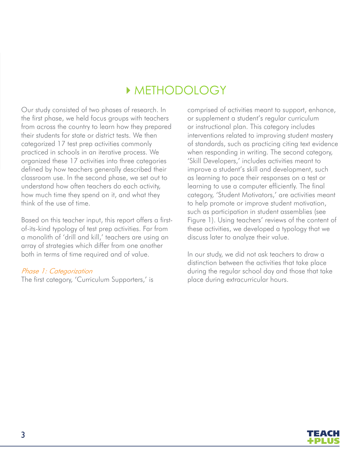# METHODOLOGY

Our study consisted of two phases of research. In the first phase, we held focus groups with teachers from across the country to learn how they prepared their students for state or district tests. We then categorized 17 test prep activities commonly practiced in schools in an iterative process. We organized these 17 activities into three categories defined by how teachers generally described their classroom use. In the second phase, we set out to understand how often teachers do each activity, how much time they spend on it, and what they think of the use of time.

Based on this teacher input, this report offers a firstof-its-kind typology of test prep activities. Far from a monolith of 'drill and kill,' teachers are using an array of strategies which differ from one another both in terms of time required and of value.

#### Phase 1: Categorization

The first category, 'Curriculum Supporters,' is

comprised of activities meant to support, enhance, or supplement a student's regular curriculum or instructional plan. This category includes interventions related to improving student mastery of standards, such as practicing citing text evidence when responding in writing. The second category, 'Skill Developers,' includes activities meant to improve a student's skill and development, such as learning to pace their responses on a test or learning to use a computer efficiently. The final category, 'Student Motivators,' are activities meant to help promote or improve student motivation, such as participation in student assemblies (see Figure 1). Using teachers' reviews of the content of these activities, we developed a typology that we discuss later to analyze their value.

In our study, we did not ask teachers to draw a distinction between the activities that take place during the regular school day and those that take place during extracurricular hours.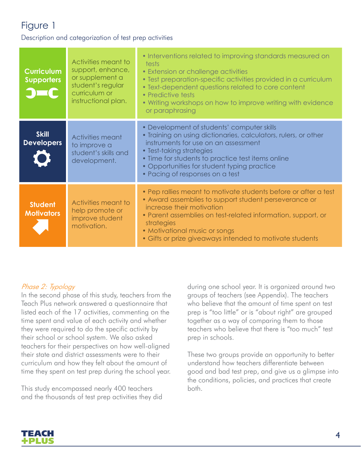Description and categorization of test prep activities

| <b>Curriculum</b><br><b>Supporters</b> | Activities meant to<br>support, enhance,<br>or supplement a<br>student's regular<br>curriculum or<br>instructional plan. | • Interventions related to improving standards measured on<br>tests<br>• Extension or challenge activities<br>• Test preparation-specific activities provided in a curriculum<br>• Text-dependent questions related to core content<br>• Predictive tests<br>. Writing workshops on how to improve writing with evidence<br>or paraphrasing |
|----------------------------------------|--------------------------------------------------------------------------------------------------------------------------|---------------------------------------------------------------------------------------------------------------------------------------------------------------------------------------------------------------------------------------------------------------------------------------------------------------------------------------------|
| <b>Skill</b><br><b>Developers</b>      | Activities meant<br>to improve a<br>student's skills and<br>development.                                                 | • Development of students' computer skills<br>• Training on using dictionaries, calculators, rulers, or other<br>instruments for use on an assessment<br>• Test-taking strategies<br>• Time for students to practice test items online<br>• Opportunities for student typing practice<br>• Pacing of responses on a test                    |
| <b>Student</b><br><b>Motivators</b>    | Activities meant to<br>help promote or<br>improve student<br>motivation.                                                 | • Pep rallies meant to motivate students before or after a test<br>• Award assemblies to support student perseverance or<br>increase their motivation<br>• Parent assemblies on test-related information, support, or<br>strategies<br>• Motivational music or songs<br>• Gifts or prize giveaways intended to motivate students            |

#### Phase 2: Typology

In the second phase of this study, teachers from the Teach Plus network answered a questionnaire that listed each of the 17 activities, commenting on the time spent and value of each activity and whether they were required to do the specific activity by their school or school system. We also asked teachers for their perspectives on how well-aligned their state and district assessments were to their curriculum and how they felt about the amount of time they spent on test prep during the school year.

This study encompassed nearly 400 teachers and the thousands of test prep activities they did

during one school year. It is organized around two groups of teachers (see Appendix). The teachers who believe that the amount of time spent on test prep is "too little" or is "about right" are grouped together as a way of comparing them to those teachers who believe that there is "too much" test prep in schools.

These two groups provide an opportunity to better understand how teachers differentiate between good and bad test prep, and give us a glimpse into the conditions, policies, and practices that create both.

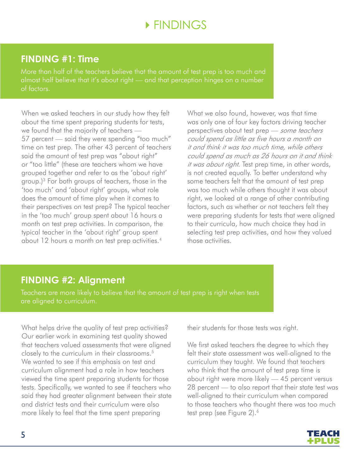# **EINDINGS**

#### **FINDING #1: Time**

More than half of the teachers believe that the amount of test prep is too much and almost half believe that it's about right — and that perception hinges on a number of factors.

When we asked teachers in our study how they felt about the time spent preparing students for tests, we found that the majority of teachers — 57 percent — said they were spending "too much" time on test prep. The other 43 percent of teachers said the amount of test prep was "about right" or "too little" (these are teachers whom we have grouped together and refer to as the 'about right' group.)3 For both groups of teachers, those in the 'too much' and 'about right' groups, what role does the amount of time play when it comes to their perspectives on test prep? The typical teacher in the 'too much' group spent about 16 hours a month on test prep activities. In comparison, the typical teacher in the 'about right' group spent about 12 hours a month on test prep activities.<sup>4</sup>

What we also found, however, was that time was only one of four key factors driving teacher perspectives about test prep - some teachers could spend as little as five hours a month on it and think it was too much time, while others could spend as much as 26 hours on it and think it was about right. Test prep time, in other words, is not created equally. To better understand why some teachers felt that the amount of test prep was too much while others thought it was about right, we looked at a range of other contributing factors, such as whether or not teachers felt they were preparing students for tests that were aligned to their curricula, how much choice they had in selecting test prep activities, and how they valued those activities.

#### **FINDING #2: Alignment**

Teachers are more likely to believe that the amount of test prep is right when tests are aligned to curriculum.

What helps drive the quality of test prep activities? Our earlier work in examining test quality showed that teachers valued assessments that were aligned closely to the curriculum in their classrooms.5 We wanted to see if this emphasis on test and curriculum alignment had a role in how teachers viewed the time spent preparing students for those tests. Specifically, we wanted to see if teachers who said they had greater alignment between their state and district tests and their curriculum were also more likely to feel that the time spent preparing

their students for those tests was right.

We first asked teachers the degree to which they felt their state assessment was well-aligned to the curriculum they taught. We found that teachers who think that the amount of test prep time is about right were more likely — 45 percent versus 28 percent — to also report that their state test was well-aligned to their curriculum when compared to those teachers who thought there was too much test prep (see Figure 2).<sup>6</sup>

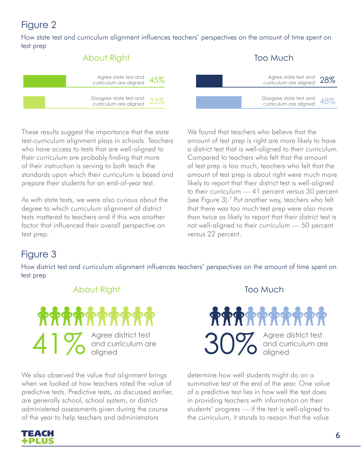How state test and curriculum alignment influences teachers' perspectives on the amount of time spent on test prep



These results suggest the importance that the state test-curriculum alignment plays in schools. Teachers who have access to tests that are well-aligned to their curriculum are probably finding that more of their instruction is serving to both teach the standards upon which their curriculum is based and prepare their students for an end-of-year test.

As with state tests, we were also curious about the degree to which curriculum alignment of district tests mattered to teachers and if this was another factor that influenced their overall perspective on test prep.

We found that teachers who believe that the amount of test prep is right are more likely to have a district test that is well-aligned to their curriculum. Compared to teachers who felt that the amount of test prep is too much, teachers who felt that the amount of test prep is about right were much more likely to report that their district test is well-aligned to their curriculum — 41 percent versus 30 percent (see Figure 3).7 Put another way, teachers who felt that there was too much test prep were also more than twice as likely to report that their district test is not well-aligned to their curriculum — 50 percent versus 22 percent.

### Figure 3

How district test and curriculum alignment influences teachers' perspectives on the amount of time spent on test prep

#### About Right Too Much



We also observed the value that alignment brings when we looked at how teachers rated the value of predictive tests. Predictive tests, as discussed earlier, are generally school, school system, or districtadministered assessments given during the course of the year to help teachers and administrators



determine how well students might do on a summative test at the end of the year. One value of a predictive test lies in how well the test does in providing teachers with information on their students' progress — if the test is well-aligned to the curriculum, it stands to reason that the value

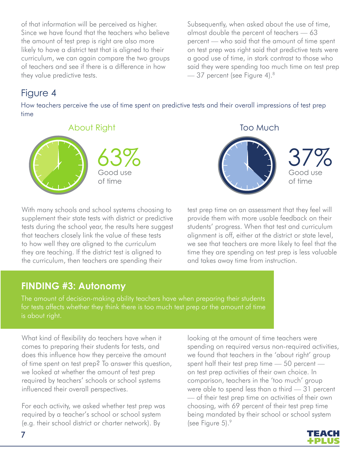of that information will be perceived as higher. Since we have found that the teachers who believe the amount of test prep is right are also more likely to have a district test that is aligned to their curriculum, we can again compare the two groups of teachers and see if there is a difference in how they value predictive tests.

Subsequently, when asked about the use of time, almost double the percent of teachers — 63 percent — who said that the amount of time spent on test prep was right said that predictive tests were a good use of time, in stark contrast to those who said they were spending too much time on test prep — 37 percent (see Figure 4).8

### Figure 4

How teachers perceive the use of time spent on predictive tests and their overall impressions of test prep time



With many schools and school systems choosing to supplement their state tests with district or predictive tests during the school year, the results here suggest that teachers closely link the value of these tests to how well they are aligned to the curriculum they are teaching. If the district test is aligned to the curriculum, then teachers are spending their



test prep time on an assessment that they feel will provide them with more usable feedback on their students' progress. When that test and curriculum alignment is off, either at the district or state level, we see that teachers are more likely to feel that the time they are spending on test prep is less valuable and takes away time from instruction.

#### **FINDING #3: Autonomy**

The amount of decision-making ability teachers have when preparing their students for tests affects whether they think there is too much test prep or the amount of time is about right.

What kind of flexibility do teachers have when it comes to preparing their students for tests, and does this influence how they perceive the amount of time spent on test prep? To answer this question, we looked at whether the amount of test prep required by teachers' schools or school systems influenced their overall perspectives.

For each activity, we asked whether test prep was required by a teacher's school or school system (e.g. their school district or charter network). By

looking at the amount of time teachers were spending on required versus non-required activities, we found that teachers in the 'about right' group spent half their test prep time — 50 percent on test prep activities of their own choice. In comparison, teachers in the 'too much' group were able to spend less than a third — 31 percent — of their test prep time on activities of their own choosing, with 69 percent of their test prep time being mandated by their school or school system (see Figure 5).9

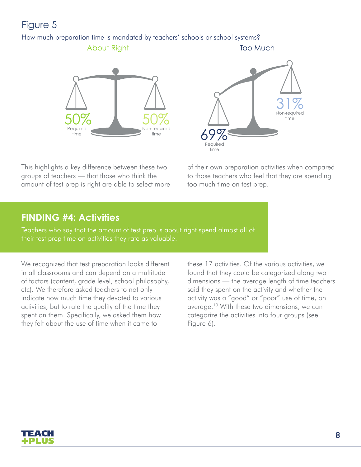#### How much preparation time is mandated by teachers' schools or school systems?

About Right Too Much





This highlights a key difference between these two groups of teachers — that those who think the amount of test prep is right are able to select more of their own preparation activities when compared to those teachers who feel that they are spending too much time on test prep.

### **FINDING #4: Activities**

Teachers who say that the amount of test prep is about right spend almost all of their test prep time on activities they rate as valuable.

We recognized that test preparation looks different in all classrooms and can depend on a multitude of factors (content, grade level, school philosophy, etc). We therefore asked teachers to not only indicate how much time they devoted to various activities, but to rate the quality of the time they spent on them. Specifically, we asked them how they felt about the use of time when it came to

these 17 activities. Of the various activities, we found that they could be categorized along two dimensions — the average length of time teachers said they spent on the activity and whether the activity was a "good" or "poor" use of time, on average.10 With these two dimensions, we can categorize the activities into four groups (see Figure 6).

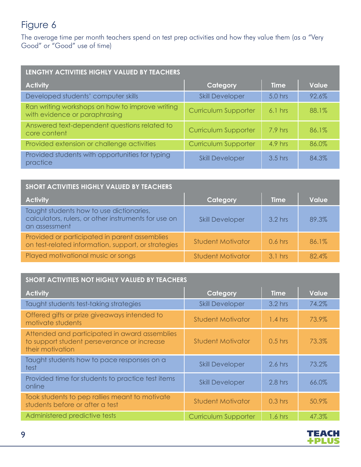The average time per month teachers spend on test prep activities and how they value them (as a "Very Good" or "Good" use of time)

| LENGTHY ACTIVITIES HIGHLY VALUED BY TEACHERS                                     |                             |             |              |  |
|----------------------------------------------------------------------------------|-----------------------------|-------------|--------------|--|
| <b>Activity</b>                                                                  | Category                    | <b>Time</b> | <b>Value</b> |  |
| Developed students' computer skills                                              | <b>Skill Developer</b>      | $5.0$ hrs   | 92.6%        |  |
| Ran writing workshops on how to improve writing<br>with evidence or paraphrasing | <b>Curriculum Supporter</b> | $6.1$ hrs   | 88.1%        |  |
| Answered text-dependent questions related to<br>core content                     | <b>Curriculum Supporter</b> | 7.9 hrs     | 86.1%        |  |
| Provided extension or challenge activities                                       | Curriculum Supporter        | 4.9 hrs     | 86.0%        |  |
| Provided students with opportunities for typing<br>practice                      | <b>Skill Developer</b>      | $3.5$ hrs   | 84.3%        |  |

| <b>SHORT ACTIVITIES HIGHLY VALUED BY TEACHERS</b>                                                                 |                          |             |              |  |  |
|-------------------------------------------------------------------------------------------------------------------|--------------------------|-------------|--------------|--|--|
| <b>Activity</b>                                                                                                   | Category                 | <b>Time</b> | <b>Value</b> |  |  |
| Taught students how to use dictionaries,<br>calculators, rulers, or other instruments for use on<br>an assessment | <b>Skill Developer</b>   | $3.2$ hrs   | 89.3%        |  |  |
| Provided or participated in parent assemblies<br>on test-related information, support, or strategies              | <b>Student Motivator</b> | $0.6$ hrs   | 86.1%        |  |  |
| Played motivational music or songs                                                                                | <b>Student Motivator</b> | $3.1$ hrs   | 82.4%        |  |  |

#### **SHORT ACTIVITIES NOT HIGHLY VALUED BY TEACHERS**

| <b>Activity</b>                                                                                                  | Category                    | <b>Time</b> | <b>Value</b> |
|------------------------------------------------------------------------------------------------------------------|-----------------------------|-------------|--------------|
| Taught students test-taking strategies                                                                           | <b>Skill Developer</b>      | $3.2$ hrs   | 74.2%        |
| Offered gifts or prize giveaways intended to<br>motivate students                                                | <b>Student Motivator</b>    | $1.4$ hrs   | 73.9%        |
| Attended and participated in award assemblies<br>to support student perseverance or increase<br>their motivation | <b>Student Motivator</b>    | $0.5$ hrs   | 73.3%        |
| Taught students how to pace responses on a<br>test                                                               | <b>Skill Developer</b>      | $2.6$ hrs   | 73.2%        |
| Provided time for students to practice test items<br>online                                                      | <b>Skill Developer</b>      | $2.8$ hrs   | 66.0%        |
| Took students to pep rallies meant to motivate<br>students before or after a test                                | <b>Student Motivator</b>    | $0.3$ hrs   | 50.9%        |
| Administered predictive tests                                                                                    | <b>Curriculum Supporter</b> | 1.6 hrs     | 47.3%        |

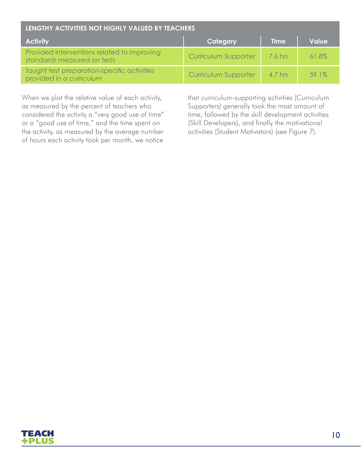| LENGTHY ACTIVITIES NOT HIGHLY VALUED BY TEACHERS                           |                      |             |          |  |
|----------------------------------------------------------------------------|----------------------|-------------|----------|--|
| <b>Activity</b>                                                            | Category             | <b>Time</b> | Value    |  |
| Provided interventions related to improving<br>standards measured on tests | Curriculum Supporter | 7.6 hrs     | 61.8%    |  |
| Taught test preparation-specific activities<br>provided in a curriculum    | Curriculum Supporter | 4.7 hrs     | $59.1\%$ |  |

When we plot the relative value of each activity, as measured by the percent of teachers who considered the activity a "very good use of time" or a "good use of time," and the time spent on the activity, as measured by the average number of hours each activity took per month, we notice

that curriculum-supporting activities (Curriculum Supporters) generally took the most amount of time, followed by the skill development activities (Skill Developers), and finally the motivational activities (Student Motivators) (see Figure 7).

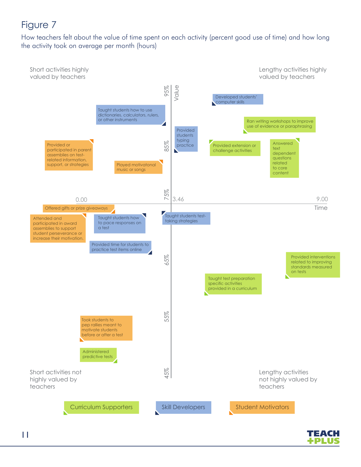How teachers felt about the value of time spent on each activity (percent good use of time) and how long the activity took on average per month (hours)



TEACH FPLU: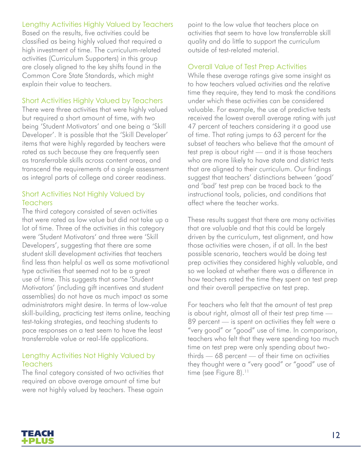#### Lengthy Activities Highly Valued by Teachers

Based on the results, five activities could be classified as being highly valued that required a high investment of time. The curriculum-related activities (Curriculum Supporters) in this group are closely aligned to the key shifts found in the Common Core State Standards, which might explain their value to teachers.

#### Short Activities Highly Valued by Teachers

There were three activities that were highly valued but required a short amount of time, with two being 'Student Motivators' and one being a 'Skill Developer'. It is possible that the 'Skill Developer' items that were highly regarded by teachers were rated as such because they are frequently seen as transferrable skills across content areas, and transcend the requirements of a single assessment as integral parts of college and career readiness.

#### Short Activities Not Highly Valued by **Teachers**

The third category consisted of seven activities that were rated as low value but did not take up a lot of time. Three of the activities in this category were 'Student Motivators' and three were 'Skill Developers', suggesting that there are some student skill development activities that teachers find less than helpful as well as some motivational type activities that seemed not to be a great use of time. This suggests that some 'Student Motivators' (including gift incentives and student assemblies) do not have as much impact as some administrators might desire. In terms of low-value skill-building, practicing test items online, teaching test-taking strategies, and teaching students to pace responses on a test seem to have the least transferrable value or real-life applications.

#### Lengthy Activities Not Highly Valued by **Teachers**

The final category consisted of two activities that required an above average amount of time but were not highly valued by teachers. These again

point to the low value that teachers place on activities that seem to have low transferrable skill quality and do little to support the curriculum outside of test-related material.

#### Overall Value of Test Prep Activities

While these average ratings give some insight as to how teachers valued activities and the relative time they require, they tend to mask the conditions under which these activities can be considered valuable. For example, the use of predictive tests received the lowest overall average rating with just 47 percent of teachers considering it a good use of time. That rating jumps to 63 percent for the subset of teachers who believe that the amount of test prep is about right — and it is those teachers who are more likely to have state and district tests that are aligned to their curriculum. Our findings suggest that teachers' distinctions between 'good' and 'bad' test prep can be traced back to the instructional tools, policies, and conditions that affect where the teacher works.

These results suggest that there are many activities that are valuable and that this could be largely driven by the curriculum, test alignment, and how those activities were chosen, if at all. In the best possible scenario, teachers would be doing test prep activities they considered highly valuable, and so we looked at whether there was a difference in how teachers rated the time they spent on test prep and their overall perspective on test prep.

For teachers who felt that the amount of test prep is about right, almost all of their test prep time — 89 percent — is spent on activities they felt were a "very good" or "good" use of time. In comparison, teachers who felt that they were spending too much time on test prep were only spending about twothirds — 68 percent — of their time on activities they thought were a "very good" or "good" use of time (see Figure 8).<sup>11</sup>

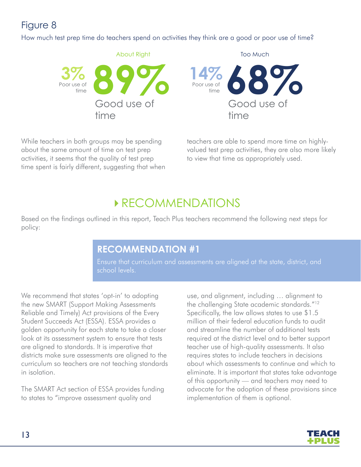How much test prep time do teachers spend on activities they think are a good or poor use of time?



While teachers in both groups may be spending about the same amount of time on test prep activities, it seems that the quality of test prep time spent is fairly different, suggesting that when teachers are able to spend more time on highlyvalued test prep activities, they are also more likely to view that time as appropriately used.

# **RECOMMENDATIONS**

Based on the findings outlined in this report, Teach Plus teachers recommend the following next steps for policy:

#### **RECOMMENDATION #1**

Ensure that curriculum and assessments are aligned at the state, district, and school levels.

We recommend that states 'opt-in' to adopting the new SMART (Support Making Assessments Reliable and Timely) Act provisions of the Every Student Succeeds Act (ESSA). ESSA provides a golden opportunity for each state to take a closer look at its assessment system to ensure that tests are aligned to standards. It is imperative that districts make sure assessments are aligned to the curriculum so teachers are not teaching standards in isolation.

The SMART Act section of ESSA provides funding to states to "improve assessment quality and

use, and alignment, including … alignment to the challenging State academic standards."12 Specifically, the law allows states to use \$1.5 million of their federal education funds to audit and streamline the number of additional tests required at the district level and to better support teacher use of high-quality assessments. It also requires states to include teachers in decisions about which assessments to continue and which to eliminate. It is important that states take advantage of this opportunity — and teachers may need to advocate for the adoption of these provisions since implementation of them is optional.

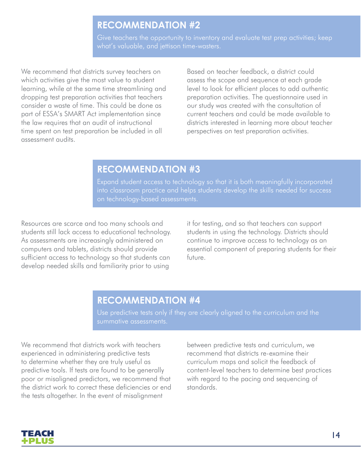#### **RECOMMENDATION #2**

Give teachers the opportunity to inventory and evaluate test prep activities; keep what's valuable, and jettison time-wasters.

We recommend that districts survey teachers on which activities give the most value to student learning, while at the same time streamlining and dropping test preparation activities that teachers consider a waste of time. This could be done as part of ESSA's SMART Act implementation since the law requires that an audit of instructional time spent on test preparation be included in all assessment audits.

Based on teacher feedback, a district could assess the scope and sequence at each grade level to look for efficient places to add authentic preparation activities. The questionnaire used in our study was created with the consultation of current teachers and could be made available to districts interested in learning more about teacher perspectives on test preparation activities.

#### **RECOMMENDATION #3**

Expand student access to technology so that it is both meaningfully incorporated into classroom practice and helps students develop the skills needed for success on technology-based assessments.

Resources are scarce and too many schools and students still lack access to educational technology. As assessments are increasingly administered on computers and tablets, districts should provide sufficient access to technology so that students can develop needed skills and familiarity prior to using

it for testing, and so that teachers can support students in using the technology. Districts should continue to improve access to technology as an essential component of preparing students for their future.

#### **RECOMMENDATION #4**

Use predictive tests only if they are clearly aligned to the curriculum and the summative assessments.

We recommend that districts work with teachers experienced in administering predictive tests to determine whether they are truly useful as predictive tools. If tests are found to be generally poor or misaligned predictors, we recommend that the district work to correct these deficiencies or end the tests altogether. In the event of misalignment

between predictive tests and curriculum, we recommend that districts re-examine their curriculum maps and solicit the feedback of content-level teachers to determine best practices with regard to the pacing and sequencing of standards.

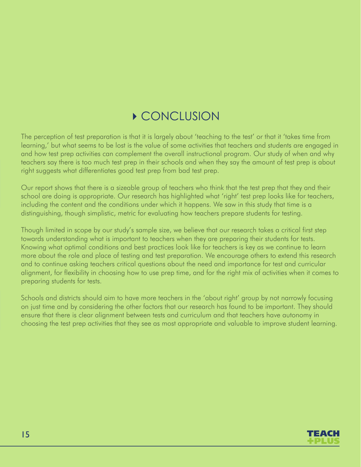# **CONCLUSION**

The perception of test preparation is that it is largely about 'teaching to the test' or that it 'takes time from learning,' but what seems to be lost is the value of some activities that teachers and students are engaged in and how test prep activities can complement the overall instructional program. Our study of when and why teachers say there is too much test prep in their schools and when they say the amount of test prep is about right suggests what differentiates good test prep from bad test prep.

Our report shows that there is a sizeable group of teachers who think that the test prep that they and their school are doing is appropriate. Our research has highlighted what 'right' test prep looks like for teachers, including the content and the conditions under which it happens. We saw in this study that time is a distinguishing, though simplistic, metric for evaluating how teachers prepare students for testing.

Though limited in scope by our study's sample size, we believe that our research takes a critical first step towards understanding what is important to teachers when they are preparing their students for tests. Knowing what optimal conditions and best practices look like for teachers is key as we continue to learn more about the role and place of testing and test preparation. We encourage others to extend this research and to continue asking teachers critical questions about the need and importance for test and curricular alignment, for flexibility in choosing how to use prep time, and for the right mix of activities when it comes to preparing students for tests.

Schools and districts should aim to have more teachers in the 'about right' group by not narrowly focusing on just time and by considering the other factors that our research has found to be important. They should ensure that there is clear alignment between tests and curriculum and that teachers have autonomy in choosing the test prep activities that they see as most appropriate and valuable to improve student learning.

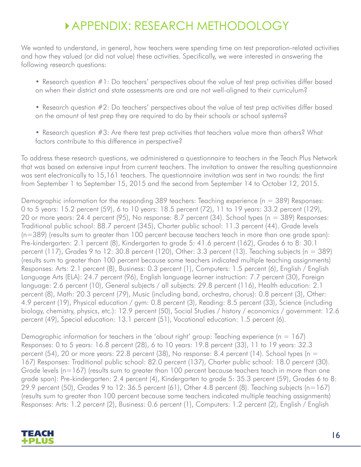# APPENDIX: RESEARCH METHODOLOGY

We wanted to understand, in general, how teachers were spending time on test preparation-related activities and how they valued (or did not value) these activities. Specifically, we were interested in answering the following research questions:

- Research question #1: Do teachers' perspectives about the value of test prep activities differ based on when their district and state assessments are and are not well-aligned to their curriculum?
- Research question #2: Do teachers' perspectives about the value of test prep activities differ based on the amount of test prep they are required to do by their schools or school systems?
- Research question #3: Are there test prep activities that teachers value more than others? What factors contribute to this difference in perspective?

To address these research questions, we administered a questionnaire to teachers in the Teach Plus Network that was based on extensive input from current teachers. The invitation to answer the resulting questionnaire was sent electronically to 15,161 teachers. The questionnaire invitation was sent in two rounds: the first from September 1 to September 15, 2015 and the second from September 14 to October 12, 2015.

Demographic information for the responding 389 teachers: Teaching experience ( $n = 389$ ) Responses: 0 to 5 years: 15.2 percent (59), 6 to 10 years: 18.5 percent (72), 11 to 19 years: 33.2 percent (129), 20 or more years: 24.4 percent (95), No response: 8.7 percent (34). School types (n = 389) Responses: Traditional public school: 88.7 percent (345), Charter public school: 11.3 percent (44). Grade levels (n=389) (results sum to greater than 100 percent because teachers teach in more than one grade span): Pre-kindergarten: 2.1 percent (8), Kindergarten to grade 5: 41.6 percent (162), Grades 6 to 8: 30.1 percent (117), Grades 9 to 12: 30.8 percent (120), Other: 3.3 percent (13). Teaching subjects ( $n = 389$ ) (results sum to greater than 100 percent because some teachers indicated multiple teaching assignments) Responses: Arts: 2.1 percent (8), Business: 0.3 percent (1), Computers: 1.5 percent (6), English / English Language Arts (ELA): 24.7 percent (96), English language learner instruction: 7.7 percent (30), Foreign language: 2.6 percent (10), General subjects / all subjects: 29.8 percent (116), Health education: 2.1 percent (8), Math: 20.3 percent (79), Music (including band, orchestra, chorus): 0.8 percent (3), Other: 4.9 percent (19), Physical education / gym: 0.8 percent (3), Reading: 8.5 percent (33), Science (including biology, chemistry, physics, etc.): 12.9 percent (50), Social Studies / history / economics / government: 12.6 percent (49), Special education: 13.1 percent (51), Vocational education: 1.5 percent (6).

Demographic information for teachers in the 'about right' group: Teaching experience ( $n = 167$ ) Responses: 0 to 5 years: 16.8 percent (28), 6 to 10 years: 19.8 percent (33), 11 to 19 years: 32.3 percent (54), 20 or more years: 22.8 percent (38), No response: 8.4 percent (14). School types (n = 167) Responses: Traditional public school: 82.0 percent (137), Charter public school: 18.0 percent (30). Grade levels (n=167) (results sum to greater than 100 percent because teachers teach in more than one grade span): Pre-kindergarten: 2.4 percent (4), Kindergarten to grade 5: 35.3 percent (59), Grades 6 to 8: 29.9 percent (50), Grades 9 to 12: 36.5 percent (61), Other 4.8 percent (8). Teaching subjects (n=167) (results sum to greater than 100 percent because some teachers indicated multiple teaching assignments) Responses: Arts: 1.2 percent (2), Business: 0.6 percent (1), Computers: 1.2 percent (2), English / English

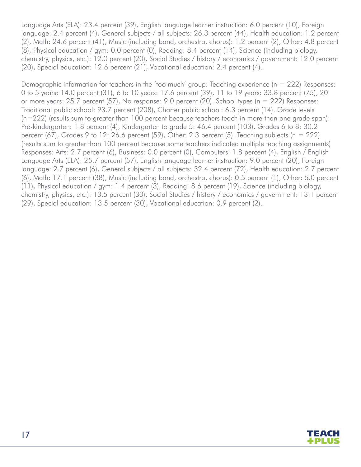Language Arts (ELA): 23.4 percent (39), English language learner instruction: 6.0 percent (10), Foreign language: 2.4 percent (4), General subjects / all subjects: 26.3 percent (44), Health education: 1.2 percent (2), Math: 24.6 percent (41), Music (including band, orchestra, chorus): 1.2 percent (2), Other: 4.8 percent (8), Physical education / gym: 0.0 percent (0), Reading: 8.4 percent (14), Science (including biology, chemistry, physics, etc.): 12.0 percent (20), Social Studies / history / economics / government: 12.0 percent (20), Special education: 12.6 percent (21), Vocational education: 2.4 percent (4).

Demoaraphic information for teachers in the 'too much' group: Teaching experience (n = 222) Responses: 0 to 5 years: 14.0 percent (31), 6 to 10 years: 17.6 percent (39), 11 to 19 years: 33.8 percent (75), 20 or more years: 25.7 percent (57), No response: 9.0 percent (20). School types (n = 222) Responses: Traditional public school: 93.7 percent (208), Charter public school: 6.3 percent (14). Grade levels (n=222) (results sum to greater than 100 percent because teachers teach in more than one grade span): Pre-kindergarten: 1.8 percent (4), Kindergarten to grade 5: 46.4 percent (103), Grades 6 to 8: 30.2 percent (67), Grades 9 to 12: 26.6 percent (59), Other: 2.3 percent (5). Teaching subjects (n = 222) (results sum to greater than 100 percent because some teachers indicated multiple teaching assignments) Responses: Arts: 2.7 percent (6), Business: 0.0 percent (0), Computers: 1.8 percent (4), English / English Language Arts (ELA): 25.7 percent (57), English language learner instruction: 9.0 percent (20), Foreign language: 2.7 percent (6), General subjects / all subjects: 32.4 percent (72), Health education: 2.7 percent (6), Math: 17.1 percent (38), Music (including band, orchestra, chorus): 0.5 percent (1), Other: 5.0 percent (11), Physical education / gym: 1.4 percent (3), Reading: 8.6 percent (19), Science (including biology, chemistry, physics, etc.): 13.5 percent (30), Social Studies / history / economics / government: 13.1 percent (29), Special education: 13.5 percent (30), Vocational education: 0.9 percent (2).

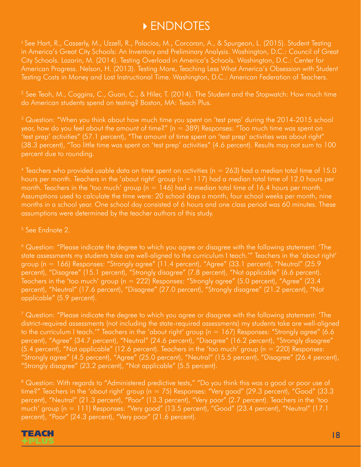## ENDNOTES

<sup>1</sup> See Hart, R., Casserly, M., Uzzell, R., Palacios, M., Corcoran, A., & Spurgeon, L. (2015). Student Testing in America's Great City Schools: An Inventory and Preliminary Analysis. Washington, D.C.: Council of Great City Schools. Lazarin, M. (2014). Testing Overload in America's Schools. Washington, D.C.: Center for American Progress. Nelson, H. (2013). Testing More, Teaching Less What America's Obsession with Student Testing Costs in Money and Lost Instructional Time. Washington, D.C.: American Federation of Teachers.

2 See Teoh, M., Coggins, C., Guan, C., & Hiler, T. (2014). The Student and the Stopwatch: How much time do American students spend on testing? Boston, MA: Teach Plus.

<sup>3</sup> Question: "When you think about how much time you spent on 'test prep' during the 2014-2015 school year, how do you feel about the amount of time?" (n = 389) Responses: "Too much time was spent on 'test prep' activities" (57.1 percent), "The amount of time spent on 'test prep' activities was about right" (38.3 percent), "Too little time was spent on 'test prep' activities" (4.6 percent). Results may not sum to 100 percent due to rounding.

<sup>4</sup> Teachers who provided usable data on time spent on activities ( $n = 263$ ) had a median total time of 15.0 hours per month. Teachers in the 'about right' group ( $n = 117$ ) had a median total time of 12.0 hours per month. Teachers in the 'too much' group ( $n = 146$ ) had a median total time of 16.4 hours per month. Assumptions used to calculate the time were: 20 school days a month, four school weeks per month, nine months in a school year. One school day consisted of 6 hours and one class period was 60 minutes. These assumptions were determined by the teacher authors of this study.

5 See Endnote 2.

6 Question: "Please indicate the degree to which you agree or disagree with the following statement: 'The state assessments my students take are well-aligned to the curriculum I teach.'" Teachers in the 'about right' group (n = 166) Responses: "Strongly agree" (11.4 percent), "Agree" (33.1 percent), "Neutral" (25.9 percent), "Disagree" (15.1 percent), "Strongly disagree" (7.8 percent), "Not applicable" (6.6 percent). Teachers in the 'too much' group (n = 222) Responses: "Strongly agree" (5.0 percent), "Agree" (23.4 percent), "Neutral" (17.6 percent), "Disagree" (27.0 percent), "Strongly disagree" (21.2 percent), "Not applicable" (5.9 percent).

 $^7$  Question: "Please indicate the degree to which you agree or disagree with the following statement: 'The district-required assessments (not including the state-required assessments) my students take are well-aligned to the curriculum I teach.'" Teachers in the 'about right' group (n = 167) Responses: "Strongly agree" (6.6 percent), "Agree" (34.7 percent), "Neutral" (24.6 percent), "Disagree" (16.2 percent), "Strongly disagree"  $(5.4$  percent), "Not applicable" (12.6 percent). Teachers in the 'too much' group ( $n = 220$ ) Responses: "Strongly agree" (4.5 percent), "Agree" (25.0 percent), "Neutral" (15.5 percent), "Disagree" (26.4 percent), "Strongly disagree" (23.2 percent), "Not applicable" (5.5 percent).

<sup>8</sup> Question: With regards to "Administered predictive tests," "Do you think this was a good or poor use of time?" Teachers in the 'about right' group (n = 75) Responses: "Very good" (29.3 percent), "Good" (33.3 percent), "Neutral" (21.3 percent), "Poor" (13.3 percent), "Very poor" (2.7 percent). Teachers in the 'too much' group (n = 111) Responses: "Very good" (13.5 percent), "Good" (23.4 percent), "Neutral" (17.1 percent), "Poor" (24.3 percent), "Very poor" (21.6 percent).

#### TEACH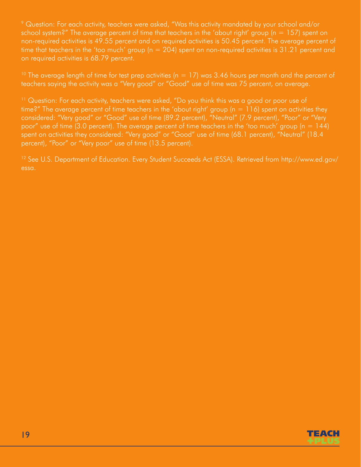9 Question: For each activity, teachers were asked, "Was this activity mandated by your school and/or school system?" The average percent of time that teachers in the 'about right' group ( $n = 157$ ) spent on non-required activities is 49.55 percent and on required activities is 50.45 percent. The average percent of time that teachers in the 'too much' group ( $n = 204$ ) spent on non-required activities is 31.21 percent and on required activities is 68.79 percent.

<sup>10</sup> The average length of time for test prep activities ( $n = 17$ ) was 3.46 hours per month and the percent of teachers saying the activity was a "Very good" or "Good" use of time was 75 percent, on average.

<sup>11</sup> Question: For each activity, teachers were asked, "Do you think this was a good or poor use of time?" The average percent of time teachers in the 'about right' group (n = 116) spent on activities they considered: "Very good" or "Good" use of time (89.2 percent), "Neutral" (7.9 percent), "Poor" or "Very poor" use of time (3.0 percent). The average percent of time teachers in the 'too much' group ( $n = 144$ ) spent on activities they considered: "Very good" or "Good" use of time (68.1 percent), "Neutral" (18.4 percent), "Poor" or "Very poor" use of time (13.5 percent).

12 See U.S. Department of Education. Every Student Succeeds Act (ESSA). Retrieved from http://www.ed.gov/ essa.